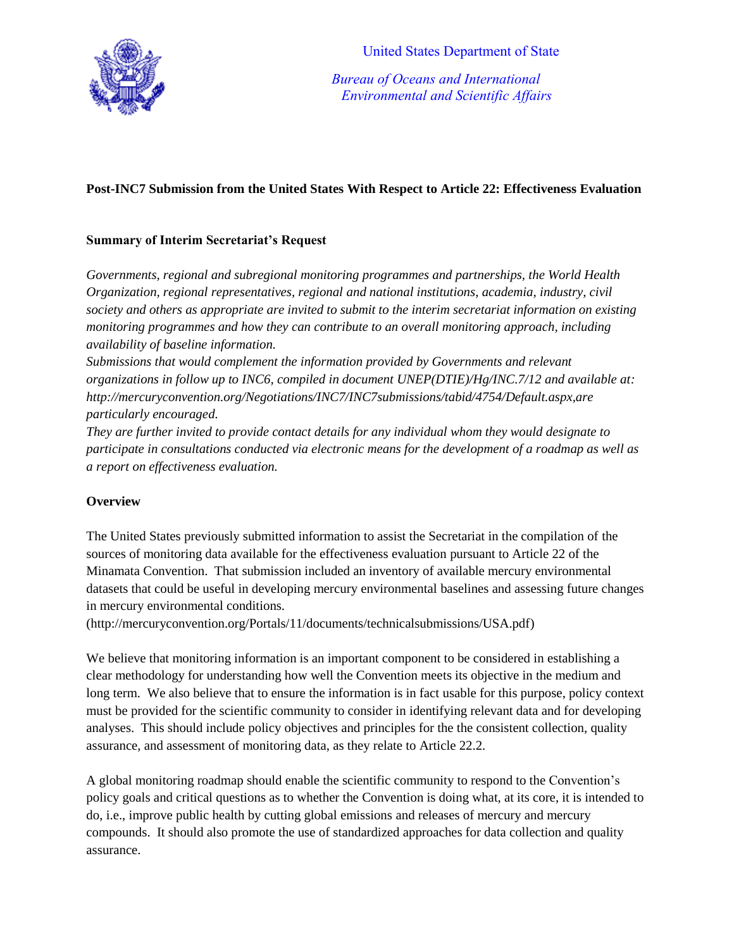

 *Bureau of Oceans and International Environmental and Scientific Affairs*

# **Post-INC7 Submission from the United States With Respect to Article 22: Effectiveness Evaluation**

## **Summary of Interim Secretariat's Request**

*Governments, regional and subregional monitoring programmes and partnerships, the World Health Organization, regional representatives, regional and national institutions, academia, industry, civil society and others as appropriate are invited to submit to the interim secretariat information on existing monitoring programmes and how they can contribute to an overall monitoring approach, including availability of baseline information.*

*Submissions that would complement the information provided by Governments and relevant organizations in follow up to INC6, compiled in document UNEP(DTIE)/Hg/INC.7/12 and available at: http://mercuryconvention.org/Negotiations/INC7/INC7submissions/tabid/4754/Default.aspx,are particularly encouraged.* 

*They are further invited to provide contact details for any individual whom they would designate to participate in consultations conducted via electronic means for the development of a roadmap as well as a report on effectiveness evaluation.*

## **Overview**

The United States previously submitted information to assist the Secretariat in the compilation of the sources of monitoring data available for the effectiveness evaluation pursuant to Article 22 of the Minamata Convention. That submission included an inventory of available mercury environmental datasets that could be useful in developing mercury environmental baselines and assessing future changes in mercury environmental conditions.

(http://mercuryconvention.org/Portals/11/documents/technicalsubmissions/USA.pdf)

We believe that monitoring information is an important component to be considered in establishing a clear methodology for understanding how well the Convention meets its objective in the medium and long term. We also believe that to ensure the information is in fact usable for this purpose, policy context must be provided for the scientific community to consider in identifying relevant data and for developing analyses. This should include policy objectives and principles for the the consistent collection, quality assurance, and assessment of monitoring data, as they relate to Article 22.2.

A global monitoring roadmap should enable the scientific community to respond to the Convention's policy goals and critical questions as to whether the Convention is doing what, at its core, it is intended to do, i.e., improve public health by cutting global emissions and releases of mercury and mercury compounds. It should also promote the use of standardized approaches for data collection and quality assurance.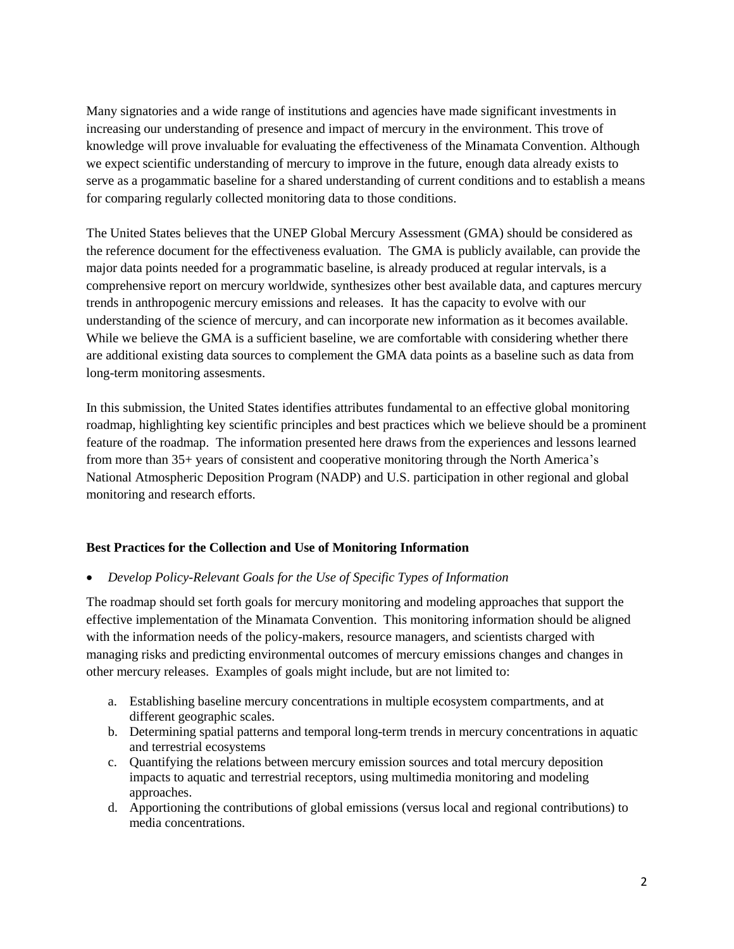Many signatories and a wide range of institutions and agencies have made significant investments in increasing our understanding of presence and impact of mercury in the environment. This trove of knowledge will prove invaluable for evaluating the effectiveness of the Minamata Convention. Although we expect scientific understanding of mercury to improve in the future, enough data already exists to serve as a progammatic baseline for a shared understanding of current conditions and to establish a means for comparing regularly collected monitoring data to those conditions.

The United States believes that the UNEP Global Mercury Assessment (GMA) should be considered as the reference document for the effectiveness evaluation. The GMA is publicly available, can provide the major data points needed for a programmatic baseline, is already produced at regular intervals, is a comprehensive report on mercury worldwide, synthesizes other best available data, and captures mercury trends in anthropogenic mercury emissions and releases. It has the capacity to evolve with our understanding of the science of mercury, and can incorporate new information as it becomes available. While we believe the GMA is a sufficient baseline, we are comfortable with considering whether there are additional existing data sources to complement the GMA data points as a baseline such as data from long-term monitoring assesments.

In this submission, the United States identifies attributes fundamental to an effective global monitoring roadmap, highlighting key scientific principles and best practices which we believe should be a prominent feature of the roadmap. The information presented here draws from the experiences and lessons learned from more than 35+ years of consistent and cooperative monitoring through the North America's National Atmospheric Deposition Program (NADP) and U.S. participation in other regional and global monitoring and research efforts.

## **Best Practices for the Collection and Use of Monitoring Information**

*Develop Policy-Relevant Goals for the Use of Specific Types of Information* 

The roadmap should set forth goals for mercury monitoring and modeling approaches that support the effective implementation of the Minamata Convention. This monitoring information should be aligned with the information needs of the policy-makers, resource managers, and scientists charged with managing risks and predicting environmental outcomes of mercury emissions changes and changes in other mercury releases. Examples of goals might include, but are not limited to:

- a. Establishing baseline mercury concentrations in multiple ecosystem compartments, and at different geographic scales.
- b. Determining spatial patterns and temporal long-term trends in mercury concentrations in aquatic and terrestrial ecosystems
- c. Quantifying the relations between mercury emission sources and total mercury deposition impacts to aquatic and terrestrial receptors, using multimedia monitoring and modeling approaches.
- d. Apportioning the contributions of global emissions (versus local and regional contributions) to media concentrations.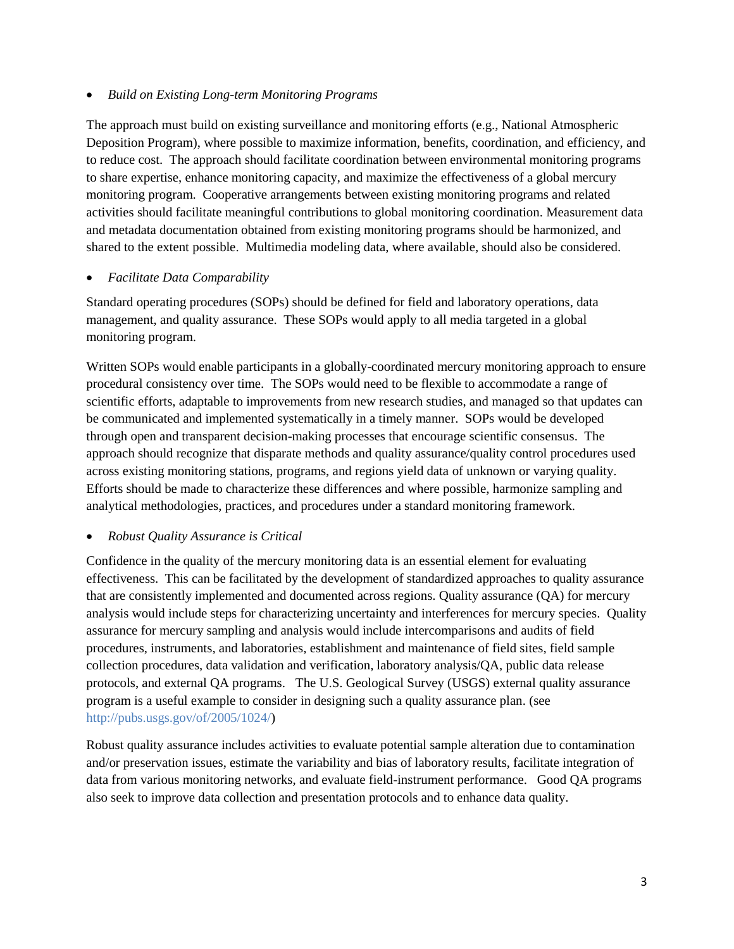#### *Build on Existing Long-term Monitoring Programs*

The approach must build on existing surveillance and monitoring efforts (e.g., National Atmospheric Deposition Program), where possible to maximize information, benefits, coordination, and efficiency, and to reduce cost. The approach should facilitate coordination between environmental monitoring programs to share expertise, enhance monitoring capacity, and maximize the effectiveness of a global mercury monitoring program. Cooperative arrangements between existing monitoring programs and related activities should facilitate meaningful contributions to global monitoring coordination. Measurement data and metadata documentation obtained from existing monitoring programs should be harmonized, and shared to the extent possible. Multimedia modeling data, where available, should also be considered.

## *Facilitate Data Comparability*

Standard operating procedures (SOPs) should be defined for field and laboratory operations, data management, and quality assurance. These SOPs would apply to all media targeted in a global monitoring program.

Written SOPs would enable participants in a globally-coordinated mercury monitoring approach to ensure procedural consistency over time. The SOPs would need to be flexible to accommodate a range of scientific efforts, adaptable to improvements from new research studies, and managed so that updates can be communicated and implemented systematically in a timely manner. SOPs would be developed through open and transparent decision-making processes that encourage scientific consensus. The approach should recognize that disparate methods and quality assurance/quality control procedures used across existing monitoring stations, programs, and regions yield data of unknown or varying quality. Efforts should be made to characterize these differences and where possible, harmonize sampling and analytical methodologies, practices, and procedures under a standard monitoring framework.

## *Robust Quality Assurance is Critical*

Confidence in the quality of the mercury monitoring data is an essential element for evaluating effectiveness. This can be facilitated by the development of standardized approaches to quality assurance that are consistently implemented and documented across regions. Quality assurance (QA) for mercury analysis would include steps for characterizing uncertainty and interferences for mercury species. Quality assurance for mercury sampling and analysis would include intercomparisons and audits of field procedures, instruments, and laboratories, establishment and maintenance of field sites, field sample collection procedures, data validation and verification, laboratory analysis/QA, public data release protocols, and external QA programs. The U.S. Geological Survey (USGS) external quality assurance program is a useful example to consider in designing such a quality assurance plan. (see http://pubs.usgs.gov/of/2005/1024/)

Robust quality assurance includes activities to evaluate potential sample alteration due to contamination and/or preservation issues, estimate the variability and bias of laboratory results, facilitate integration of data from various monitoring networks, and evaluate field-instrument performance. Good QA programs also seek to improve data collection and presentation protocols and to enhance data quality.